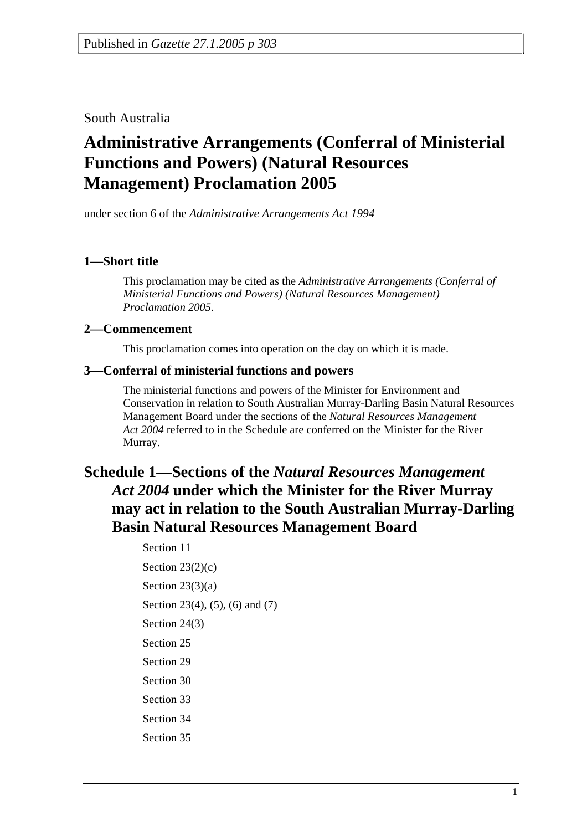South Australia

# **Administrative Arrangements (Conferral of Ministerial Functions and Powers) (Natural Resources Management) Proclamation 2005**

under section 6 of the *Administrative Arrangements Act 1994*

### **1—Short title**

This proclamation may be cited as the *Administrative Arrangements (Conferral of Ministerial Functions and Powers) (Natural Resources Management) Proclamation 2005*.

#### **2—Commencement**

This proclamation comes into operation on the day on which it is made.

#### **3—Conferral of ministerial functions and powers**

The ministerial functions and powers of the Minister for Environment and Conservation in relation to South Australian Murray-Darling Basin Natural Resources Management Board under the sections of the *Natural Resources Management Act 2004* referred to in the Schedule are conferred on the Minister for the River Murray.

## **Schedule 1—Sections of the** *Natural Resources Management Act 2004* **under which the Minister for the River Murray may act in relation to the South Australian Murray-Darling Basin Natural Resources Management Board**

Section 11 Section  $23(2)(c)$ Section  $23(3)(a)$ Section 23(4), (5), (6) and (7) Section 24(3) Section 25 Section 29 Section 30 Section 33 Section 34 Section 35